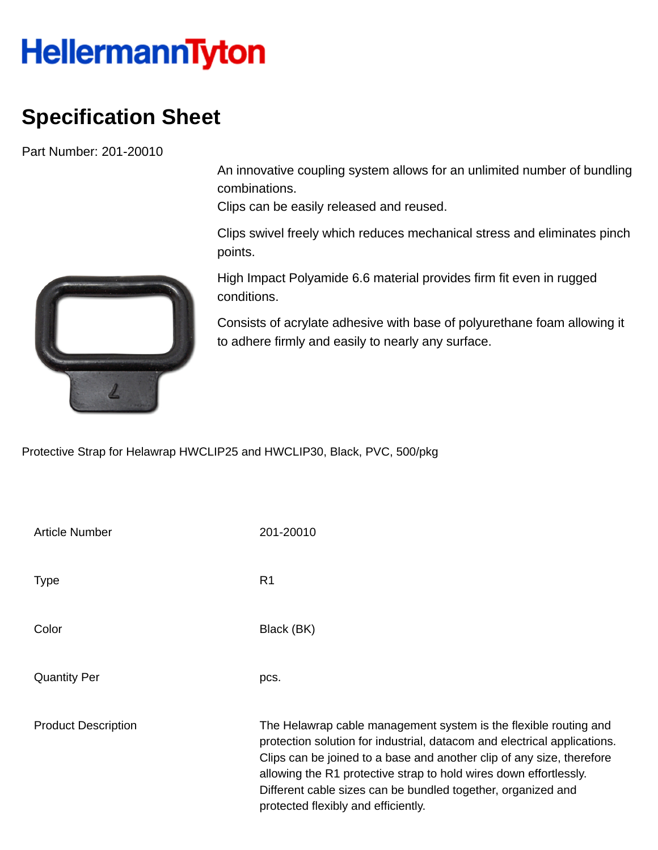## **HellermannTyton**

## **Specification Sheet**

Part Number: 201-20010

An innovative coupling system allows for an unlimited number of bundling combinations.

Clips can be easily released and reused.

Clips swivel freely which reduces mechanical stress and eliminates pinch points.

High Impact Polyamide 6.6 material provides firm fit even in rugged conditions.

Consists of acrylate adhesive with base of polyurethane foam allowing it to adhere firmly and easily to nearly any surface.

Protective Strap for Helawrap HWCLIP25 and HWCLIP30, Black, PVC, 500/pkg

| <b>Article Number</b>      | 201-20010                                                                                                                                                                                                                                                                                                                                                                                         |
|----------------------------|---------------------------------------------------------------------------------------------------------------------------------------------------------------------------------------------------------------------------------------------------------------------------------------------------------------------------------------------------------------------------------------------------|
| <b>Type</b>                | R <sub>1</sub>                                                                                                                                                                                                                                                                                                                                                                                    |
| Color                      | Black (BK)                                                                                                                                                                                                                                                                                                                                                                                        |
| <b>Quantity Per</b>        | pcs.                                                                                                                                                                                                                                                                                                                                                                                              |
| <b>Product Description</b> | The Helawrap cable management system is the flexible routing and<br>protection solution for industrial, datacom and electrical applications.<br>Clips can be joined to a base and another clip of any size, therefore<br>allowing the R1 protective strap to hold wires down effortlessly.<br>Different cable sizes can be bundled together, organized and<br>protected flexibly and efficiently. |

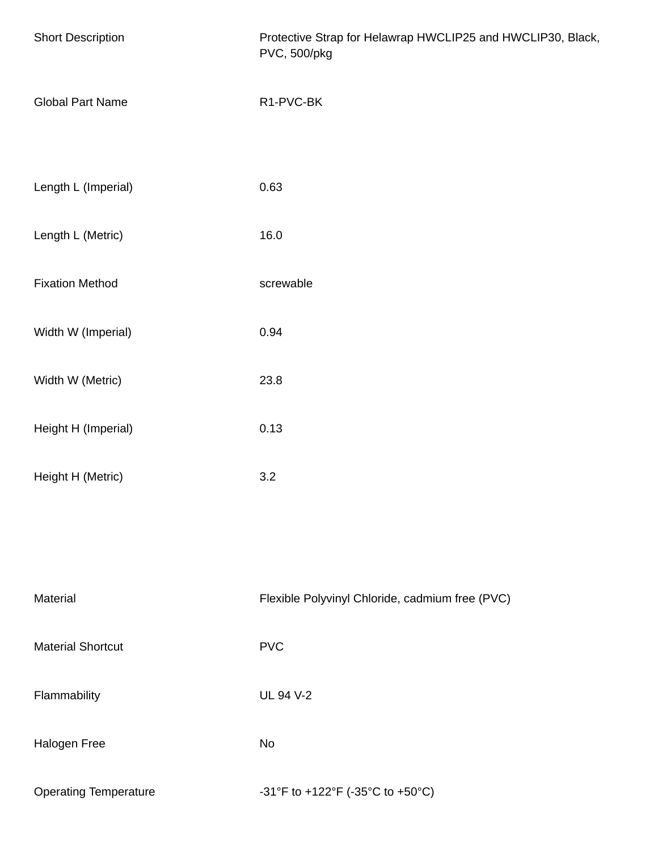| <b>Short Description</b>     | Protective Strap for Helawrap HWCLIP25 and HWCLIP30, Black,<br>PVC, 500/pkg |
|------------------------------|-----------------------------------------------------------------------------|
| <b>Global Part Name</b>      | R1-PVC-BK                                                                   |
| Length L (Imperial)          | 0.63                                                                        |
| Length L (Metric)            | 16.0                                                                        |
| <b>Fixation Method</b>       | screwable                                                                   |
| Width W (Imperial)           | 0.94                                                                        |
| Width W (Metric)             | 23.8                                                                        |
| Height H (Imperial)          | 0.13                                                                        |
| Height H (Metric)            | 3.2                                                                         |
|                              |                                                                             |
| Material                     | Flexible Polyvinyl Chloride, cadmium free (PVC)                             |
| <b>Material Shortcut</b>     | <b>PVC</b>                                                                  |
| Flammability                 | <b>UL 94 V-2</b>                                                            |
| Halogen Free                 | <b>No</b>                                                                   |
| <b>Operating Temperature</b> | -31°F to +122°F (-35°C to +50°C)                                            |